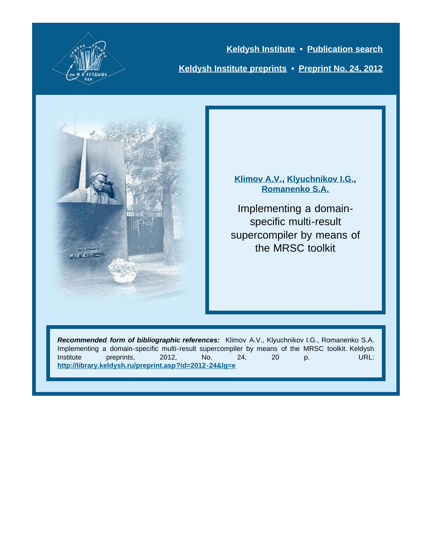

**[Keldysh Institute](http://keldysh.ru/index.en.shtml) • [Publication search](http://library.keldysh.ru/prep_qf.asp?lg=e) [Keldysh Institute preprints](http://library.keldysh.ru/preprints/default.asp?lg=e) • [Preprint No. 24, 2012](http://library.keldysh.ru/preprint.asp?id=2012-24&lg=e)**



**[Klimov A.V.,](http://library.keldysh.ru/author_page.asp?aid=1286&lg=e) [Klyuchnikov I.G.,](http://library.keldysh.ru/author_page.asp?aid=3145&lg=e) [Romanenko S.A.](http://library.keldysh.ru/author_page.asp?aid=1291&lg=e)**

Implementing a domainspecific multi-result supercompiler by means of the MRSC toolkit

*Recommended form of bibliographic references:* Klimov A.V., Klyuchnikov I.G., Romanenko S.A. Implementing a domain-specific multi-result supercompiler by means of the MRSC toolkit. Keldysh Institute preprints, 2012, No. 24, 20 p. URL: **<http://library.keldysh.ru/preprint.asp?id=2012-24&lg=e>**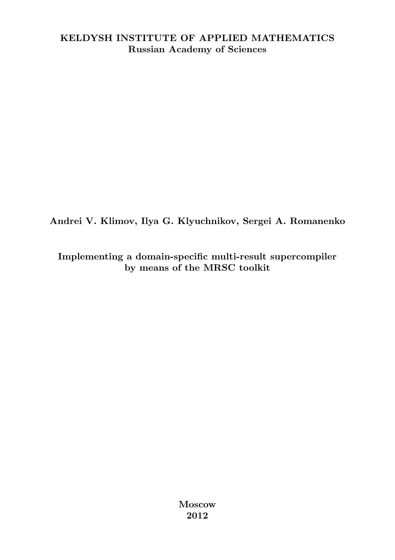#### KELDYSH INSTITUTE OF APPLIED MATHEMATICS Russian Academy of Sciences

Andrei V. Klimov, Ilya G. Klyuchnikov, Sergei A. Romanenko

Implementing a domain-specific multi-result supercompiler by means of the MRSC toolkit

> Moscow 2012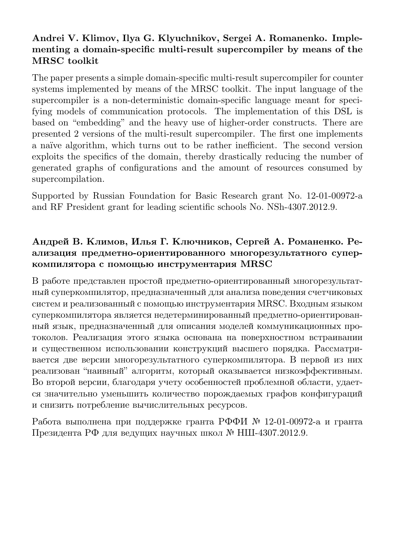#### Andrei V. Klimov, Ilya G. Klyuchnikov, Sergei A. Romanenko. Implementing a domain-specific multi-result supercompiler by means of the MRSC toolkit

The paper presents a simple domain-specific multi-result supercompiler for counter systems implemented by means of the MRSC toolkit. The input language of the supercompiler is a non-deterministic domain-specific language meant for specifying models of communication protocols. The implementation of this DSL is based on "embedding" and the heavy use of higher-order constructs. There are presented 2 versions of the multi-result supercompiler. The first one implements a naïve algorithm, which turns out to be rather inefficient. The second version exploits the specifics of the domain, thereby drastically reducing the number of generated graphs of configurations and the amount of resources consumed by supercompilation.

Supported by Russian Foundation for Basic Research grant No. 12-01-00972-a and RF President grant for leading scientific schools No. NSh-4307.2012.9.

#### Андрей В. Климов, Илья Г. Ключников, Сергей А. Романенко. Реализация предметно-ориентированного многорезультатного суперкомпилятора с помощью инструментария MRSC

В работе представлен простой предметно-ориентированный многорезультатный суперкомпилятор, предназначенный для анализа поведения счетчиковых систем и реализованный с помощью инструментария MRSC. Входным языком суперкомпилятора является недетерминированный предметно-ориентированный язык, предназначенный для описания моделей коммуникационных протоколов. Реализация этого языка основана на поверхностном встраивании и существенном использовании конструкций высшего порядка. Рассматривается две версии многорезультатного суперкомпилятора. В первой из них реализован "наивный" алгоритм, который оказывается низкоэффективным. Во второй версии, благодаря учету особенностей проблемной области, удается значительно уменьшить количество порождаемых графов конфигураций и снизить потребление вычислительных ресурсов.

Работа выполнена при поддержке гранта РФФИ № 12-01-00972-a и гранта Президента РФ для ведущих научных школ № НШ-4307.2012.9.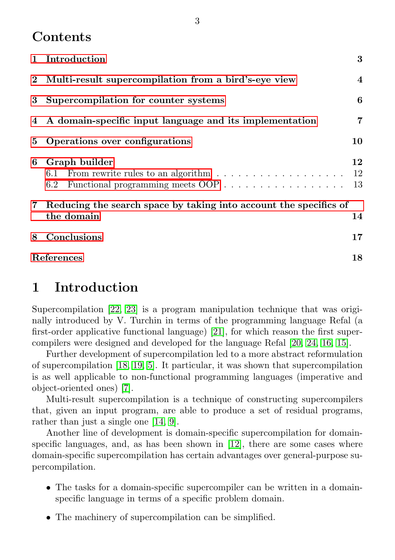### **Contents**

|   | 1 Introduction                                                                                             | 3              |
|---|------------------------------------------------------------------------------------------------------------|----------------|
|   | 2 Multi-result supercompilation from a bird's-eye view                                                     | 4              |
| 3 | Supercompilation for counter systems                                                                       | 6              |
|   | 4 A domain-specific input language and its implementation                                                  | 7              |
|   | 5 Operations over configurations                                                                           | 10             |
| 6 | Graph builder<br>6.1 From rewrite rules to an algorithm $\ldots \ldots \ldots \ldots \ldots \ldots$<br>6.2 | 12<br>12<br>13 |
|   | 7 Reducing the search space by taking into account the specifics of<br>the domain                          | 14             |
| 8 | Conclusions                                                                                                | 17             |
|   | 18<br>References                                                                                           |                |

## <span id="page-3-0"></span>1 Introduction

Supercompilation [\[22,](#page-19-0) [23\]](#page-19-1) is a program manipulation technique that was originally introduced by V. Turchin in terms of the programming language Refal (a first-order applicative functional language) [\[21\]](#page-19-2), for which reason the first supercompilers were designed and developed for the language Refal [\[20,](#page-19-3) [24,](#page-20-0) [16,](#page-19-4) [15\]](#page-19-5).

Further development of supercompilation led to a more abstract reformulation of supercompilation [\[18,](#page-19-6) [19,](#page-19-7) [5\]](#page-18-1). It particular, it was shown that supercompilation is as well applicable to non-functional programming languages (imperative and object-oriented ones) [\[7\]](#page-18-2).

Multi-result supercompilation is a technique of constructing supercompilers that, given an input program, are able to produce a set of residual programs, rather than just a single one [\[14,](#page-19-8) [9\]](#page-18-3).

Another line of development is domain-specific supercompilation for domainspecific languages, and, as has been shown in [\[12\]](#page-19-9), there are some cases where domain-specific supercompilation has certain advantages over general-purpose supercompilation.

- ∙ The tasks for a domain-specific supercompiler can be written in a domainspecific language in terms of a specific problem domain.
- ∙ The machinery of supercompilation can be simplified.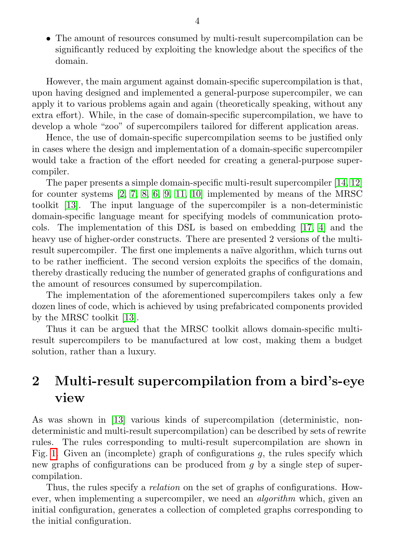∙ The amount of resources consumed by multi-result supercompilation can be significantly reduced by exploiting the knowledge about the specifics of the domain.

However, the main argument against domain-specific supercompilation is that, upon having designed and implemented a general-purpose supercompiler, we can apply it to various problems again and again (theoretically speaking, without any extra effort). While, in the case of domain-specific supercompilation, we have to develop a whole "zoo" of supercompilers tailored for different application areas.

Hence, the use of domain-specific supercompilation seems to be justified only in cases where the design and implementation of a domain-specific supercompiler would take a fraction of the effort needed for creating a general-purpose supercompiler.

The paper presents a simple domain-specific multi-result supercompiler [\[14,](#page-19-8) [12\]](#page-19-9) for counter systems [\[2,](#page-18-4) [7,](#page-18-2) [8,](#page-18-5) [6,](#page-18-6) [9,](#page-18-3) [11,](#page-19-10) [10\]](#page-18-7) implemented by means of the MRSC toolkit [\[13\]](#page-19-11). The input language of the supercompiler is a non-deterministic domain-specific language meant for specifying models of communication protocols. The implementation of this DSL is based on embedding [\[17,](#page-19-12) [4\]](#page-18-8) and the heavy use of higher-order constructs. There are presented 2 versions of the multiresult supercompiler. The first one implements a naïve algorithm, which turns out to be rather inefficient. The second version exploits the specifics of the domain, thereby drastically reducing the number of generated graphs of configurations and the amount of resources consumed by supercompilation.

The implementation of the aforementioned supercompilers takes only a few dozen lines of code, which is achieved by using prefabricated components provided by the MRSC toolkit [\[13\]](#page-19-11).

Thus it can be argued that the MRSC toolkit allows domain-specific multiresult supercompilers to be manufactured at low cost, making them a budget solution, rather than a luxury.

# <span id="page-4-0"></span>2 Multi-result supercompilation from a bird's-eye view

As was shown in [\[13\]](#page-19-11) various kinds of supercompilation (deterministic, nondeterministic and multi-result supercompilation) can be described by sets of rewrite rules. The rules corresponding to multi-result supercompilation are shown in Fig. [1.](#page-5-0) Given an (incomplete) graph of configurations  $q$ , the rules specify which new graphs of configurations can be produced from  $q$  by a single step of supercompilation.

Thus, the rules specify a relation on the set of graphs of configurations. However, when implementing a supercompiler, we need an *algorithm* which, given an initial configuration, generates a collection of completed graphs corresponding to the initial configuration.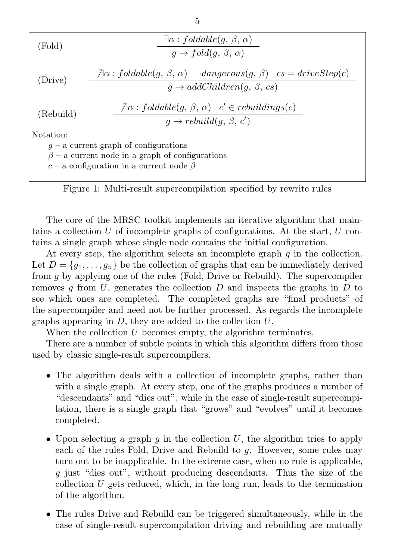<span id="page-5-0"></span>(Fold)  

$$
\frac{\exists \alpha : foldable(g, \beta, \alpha)}{g \to fold(g, \beta, \alpha)}
$$

(Drive) 
$$
\frac{\beta \alpha : foldable(g, \beta, \alpha) \quad \neg dangerous(g, \beta) \quad cs = driveStep(c)}{g \rightarrow addChildren(g, \beta, cs)}
$$

(Rebuild) 
$$
\frac{\exists \alpha : foldable(g, \beta, \alpha) \quad c' \in rebuildings(c)}{g \to rebuild(g, \beta, c')}
$$

Notation:

 $g$  – a current graph of configurations

 $\beta$  – a current node in a graph of configurations

 $c - a$  configuration in a current node  $\beta$ 

#### Figure 1: Multi-result supercompilation specified by rewrite rules

The core of the MRSC toolkit implements an iterative algorithm that maintains a collection  $U$  of incomplete graphs of configurations. At the start,  $U$  contains a single graph whose single node contains the initial configuration.

At every step, the algorithm selects an incomplete graph  $q$  in the collection. Let  $D = \{g_1, \ldots, g_n\}$  be the collection of graphs that can be immediately derived from  $q$  by applying one of the rules (Fold, Drive or Rebuild). The supercompiler removes  $g$  from  $U$ , generates the collection  $D$  and inspects the graphs in  $D$  to see which ones are completed. The completed graphs are "final products" of the supercompiler and need not be further processed. As regards the incomplete graphs appearing in  $D$ , they are added to the collection  $U$ .

When the collection  $U$  becomes empty, the algorithm terminates.

There are a number of subtle points in which this algorithm differs from those used by classic single-result supercompilers.

- ∙ The algorithm deals with a collection of incomplete graphs, rather than with a single graph. At every step, one of the graphs produces a number of "descendants" and "dies out", while in the case of single-result supercompilation, there is a single graph that "grows" and "evolves" until it becomes completed.
- Upon selecting a graph q in the collection U, the algorithm tries to apply each of the rules Fold, Drive and Rebuild to  $q$ . However, some rules may turn out to be inapplicable. In the extreme case, when no rule is applicable,  $q$  just "dies out", without producing descendants. Thus the size of the collection  $U$  gets reduced, which, in the long run, leads to the termination of the algorithm.
- ∙ The rules Drive and Rebuild can be triggered simultaneously, while in the case of single-result supercompilation driving and rebuilding are mutually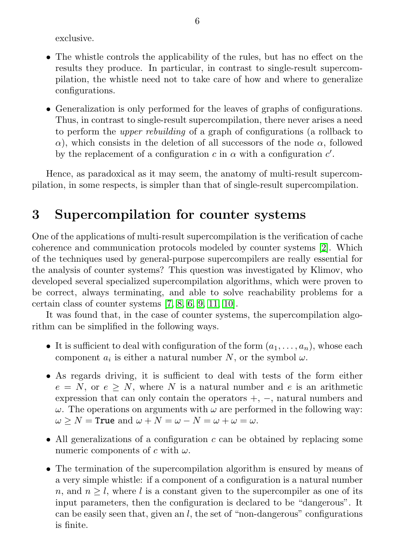exclusive.

- ∙ The whistle controls the applicability of the rules, but has no effect on the results they produce. In particular, in contrast to single-result supercompilation, the whistle need not to take care of how and where to generalize configurations.
- ∙ Generalization is only performed for the leaves of graphs of configurations. Thus, in contrast to single-result supercompilation, there never arises a need to perform the upper rebuilding of a graph of configurations (a rollback to  $\alpha$ ), which consists in the deletion of all successors of the node  $\alpha$ , followed by the replacement of a configuration  $c$  in  $\alpha$  with a configuration  $c'$ .

Hence, as paradoxical as it may seem, the anatomy of multi-result supercompilation, in some respects, is simpler than that of single-result supercompilation.

### <span id="page-6-0"></span>3 Supercompilation for counter systems

One of the applications of multi-result supercompilation is the verification of cache coherence and communication protocols modeled by counter systems [\[2\]](#page-18-4). Which of the techniques used by general-purpose supercompilers are really essential for the analysis of counter systems? This question was investigated by Klimov, who developed several specialized supercompilation algorithms, which were proven to be correct, always terminating, and able to solve reachability problems for a certain class of counter systems [\[7,](#page-18-2) [8,](#page-18-5) [6,](#page-18-6) [9,](#page-18-3) [11,](#page-19-10) [10\]](#page-18-7).

It was found that, in the case of counter systems, the supercompilation algorithm can be simplified in the following ways.

- It is sufficient to deal with configuration of the form  $(a_1, \ldots, a_n)$ , whose each component  $a_i$  is either a natural number N, or the symbol  $\omega$ .
- ∙ As regards driving, it is sufficient to deal with tests of the form either  $e = N$ , or  $e \geq N$ , where N is a natural number and e is an arithmetic expression that can only contain the operators  $+$ ,  $-$ , natural numbers and  $\omega$ . The operations on arguments with  $\omega$  are performed in the following way:  $\omega \ge N =$ True and  $\omega + N = \omega - N = \omega + \omega = \omega$ .
- All generalizations of a configuration  $c$  can be obtained by replacing some numeric components of  $c$  with  $\omega$ .
- ∙ The termination of the supercompilation algorithm is ensured by means of a very simple whistle: if a component of a configuration is a natural number n, and  $n \geq l$ , where l is a constant given to the supercompiler as one of its input parameters, then the configuration is declared to be "dangerous". It can be easily seen that, given an  $l$ , the set of "non-dangerous" configurations is finite.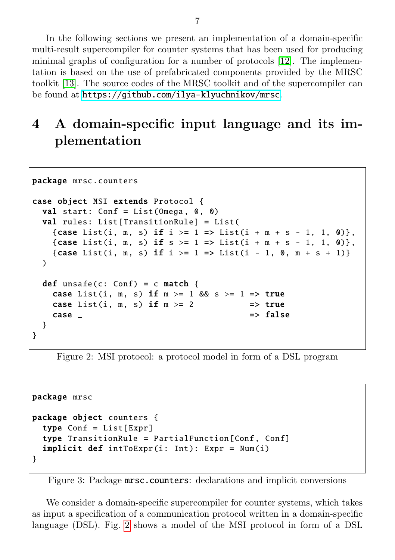In the following sections we present an implementation of a domain-specific multi-result supercompiler for counter systems that has been used for producing minimal graphs of configuration for a number of protocols [\[12\]](#page-19-9). The implementation is based on the use of prefabricated components provided by the MRSC toolkit [\[13\]](#page-19-11). The source codes of the MRSC toolkit and of the supercompiler can be found at <https://github.com/ilya-klyuchnikov/mrsc>.

# <span id="page-7-0"></span>4 A domain-specific input language and its implementation

```
package mrsc.counters
case object MSI extends Protocol {
 val start: Conf = List(Omega, 0, 0)val rules: List [ TransitionRule] = List (
   {case List(i, m, s) if i > = 1 => List(i + m + s - 1, 1, 0)},
   {case List(i, m, s) if s > = 1 => List(i + m + s - 1, 1, 0)},
   {case List(i, m, s) if i > = 1 \Rightarrow List(i - 1, 0, m + s + 1)}
 )
 def unsafe(c: Conf) = c match {
   case List(i, m, s) if m \ge 1 && s \ge 1 => true
   case List(i, m, s) if m \ge 2 => true
   case \_}
}
```
Figure 2: MSI protocol: a protocol model in form of a DSL program

```
package mrsc
package object counters {
  type Conf = List[Expr]type TransitionRule = PartialFunction [Conf , Conf]
  implicit def intToExpr(i: Int): Expr = Num(i)}
```
Figure 3: Package mrsc.counters: declarations and implicit conversions

We consider a domain-specific supercompiler for counter systems, which takes as input a specification of a communication protocol written in a domain-specific language (DSL). Fig. [2](#page-7-1) shows a model of the MSI protocol in form of a DSL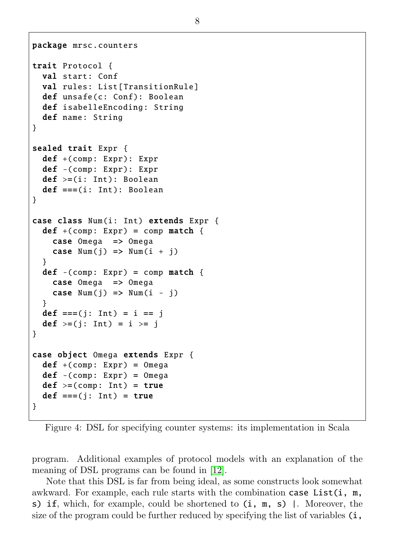```
package mrsc.counters
trait Protocol {
  val start: Conf
  val rules: List[ TransitionRule ]
  def unsafe(c: Conf): Boolean
  def isabelleEncoding: String
  def name: String
}
sealed trait Expr {
  def +( comp: Expr ): Expr
  def -(comp: Expr): Expr
  def \geq=(i: Int): Booleandef == (i: Int): Boolean}
case class Num(i: Int) extends Expr {
  def +(comp: Expr) = comp match {
    case Omega => Omega
    case Num(i) \implies Num(i + i)}
  def -(comp: Expr) = comp match {
    case Omega => Omega
    case Num(i) \implies Num(i - i)}
  def ===(j: Int) = i = == j
  def >= (i: Int) = i >= j}
case object Omega extends Expr {
  def +(comp: Expr) = Omega
  def -(comp: Expr) = Omega
  def \geq=(comp: Int) = truedef == (j: Int) = true}
```
Figure 4: DSL for specifying counter systems: its implementation in Scala

program. Additional examples of protocol models with an explanation of the meaning of DSL programs can be found in [\[12\]](#page-19-9).

Note that this DSL is far from being ideal, as some constructs look somewhat awkward. For example, each rule starts with the combination case List $(i, m, m)$ s) if, which, for example, could be shortened to (i, m, s) |. Moreover, the size of the program could be further reduced by specifying the list of variables  $(i, j)$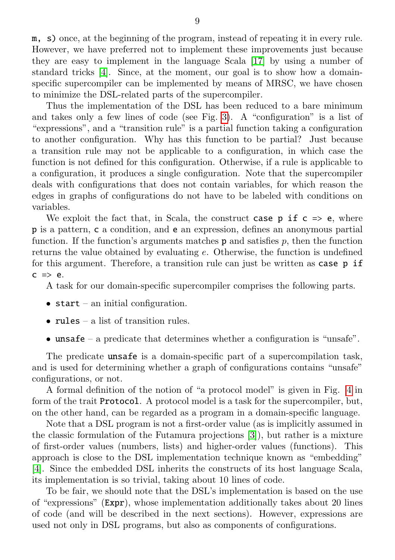m, s) once, at the beginning of the program, instead of repeating it in every rule. However, we have preferred not to implement these improvements just because they are easy to implement in the language Scala [\[17\]](#page-19-12) by using a number of standard tricks [\[4\]](#page-18-8). Since, at the moment, our goal is to show how a domainspecific supercompiler can be implemented by means of MRSC, we have chosen to minimize the DSL-related parts of the supercompiler.

Thus the implementation of the DSL has been reduced to a bare minimum and takes only a few lines of code (see Fig. [3\)](#page-7-2). A "configuration" is a list of "expressions", and a "transition rule" is a partial function taking a configuration to another configuration. Why has this function to be partial? Just because a transition rule may not be applicable to a configuration, in which case the function is not defined for this configuration. Otherwise, if a rule is applicable to a configuration, it produces a single configuration. Note that the supercompiler deals with configurations that does not contain variables, for which reason the edges in graphs of configurations do not have to be labeled with conditions on variables.

We exploit the fact that, in Scala, the construct case  $p$  if  $c \Rightarrow e$ , where p is a pattern, c a condition, and e an expression, defines an anonymous partial function. If the function's arguments matches  $p$  and satisfies  $p$ , then the function returns the value obtained by evaluating  $e$ . Otherwise, the function is undefined for this argument. Therefore, a transition rule can just be written as case p if  $c \Rightarrow e$ .

A task for our domain-specific supercompiler comprises the following parts.

- ∙ start an initial configuration.
- ∙ rules a list of transition rules.
- ∙ unsafe a predicate that determines whether a configuration is "unsafe".

The predicate unsafe is a domain-specific part of a supercompilation task, and is used for determining whether a graph of configurations contains "unsafe" configurations, or not.

A formal definition of the notion of "a protocol model" is given in Fig. [4](#page-8-0) in form of the trait Protocol. A protocol model is a task for the supercompiler, but, on the other hand, can be regarded as a program in a domain-specific language.

Note that a DSL program is not a first-order value (as is implicitly assumed in the classic formulation of the Futamura projections [\[3\]](#page-18-9)), but rather is a mixture of first-order values (numbers, lists) and higher-order values (functions). This approach is close to the DSL implementation technique known as "embedding" [\[4\]](#page-18-8). Since the embedded DSL inherits the constructs of its host language Scala, its implementation is so trivial, taking about 10 lines of code.

To be fair, we should note that the DSL's implementation is based on the use of "expressions" (Expr), whose implementation additionally takes about 20 lines of code (and will be described in the next sections). However, expressions are used not only in DSL programs, but also as components of configurations.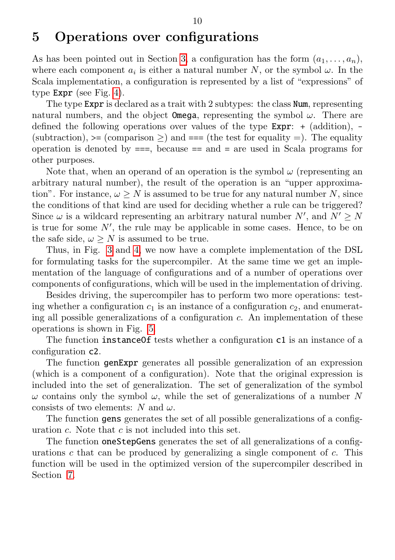#### 10

### <span id="page-10-0"></span>5 Operations over configurations

As has been pointed out in Section [3,](#page-6-0) a configuration has the form  $(a_1, \ldots, a_n)$ , where each component  $a_i$  is either a natural number N, or the symbol  $\omega$ . In the Scala implementation, a configuration is represented by a list of "expressions" of type Expr (see Fig. [4\)](#page-8-0).

The type Expr is declared as a trait with 2 subtypes: the class Num, representing natural numbers, and the object **Omega**, representing the symbol  $\omega$ . There are defined the following operations over values of the type Expr: + (addition), - (subtraction),  $\geq$  (comparison  $\geq$ ) and === (the test for equality =). The equality operation is denoted by  $==$ , because  $==$  and  $=$  are used in Scala programs for other purposes.

Note that, when an operand of an operation is the symbol  $\omega$  (representing an arbitrary natural number), the result of the operation is an "upper approximation". For instance,  $\omega > N$  is assumed to be true for any natural number N, since the conditions of that kind are used for deciding whether a rule can be triggered? Since  $\omega$  is a wildcard representing an arbitrary natural number  $N'$ , and  $N' \geq N$ is true for some  $N'$ , the rule may be applicable in some cases. Hence, to be on the safe side,  $\omega > N$  is assumed to be true.

Thus, in Fig. [3](#page-7-2) and [4,](#page-8-0) we now have a complete implementation of the DSL for formulating tasks for the supercompiler. At the same time we get an implementation of the language of configurations and of a number of operations over components of configurations, which will be used in the implementation of driving.

Besides driving, the supercompiler has to perform two more operations: testing whether a configuration  $c_1$  is an instance of a configuration  $c_2$ , and enumerating all possible generalizations of a configuration  $c$ . An implementation of these operations is shown in Fig. [5.](#page-11-1)

The function **instance Of** tests whether a configuration **c1** is an instance of a configuration c2.

The function genExpr generates all possible generalization of an expression (which is a component of a configuration). Note that the original expression is included into the set of generalization. The set of generalization of the symbol  $\omega$  contains only the symbol  $\omega$ , while the set of generalizations of a number N consists of two elements: N and  $\omega$ .

The function gens generates the set of all possible generalizations of a configuration  $c$ . Note that  $c$  is not included into this set.

The function **oneStepGens** generates the set of all generalizations of a configurations  $c$  that can be produced by generalizing a single component of  $c$ . This function will be used in the optimized version of the supercompiler described in Section [7.](#page-14-0)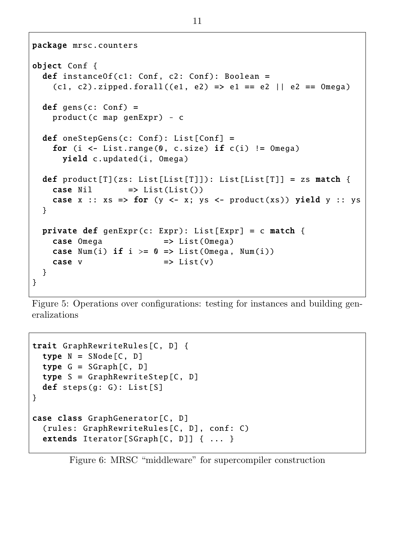```
package mrsc.counters
object Conf {
  def instanceOf(c1: Conf, c2: Conf): Boolean =
    (cl, c2).zipped. for all ((e1, e2) => e1 == e2 || e2 == Omega)def gens(c: Conf) =
    product(c map genExpr) - c
  def oneStepGens(c: Conf): List[Conf] =
    for (i \le- List.range (0, c.size) if c(i) != Omega)
      yield c.updated(i, Omega)
  def product[T](zs: List[List[T])): List[List[T]] = zs match {case Nil \Rightarrow List(List())
    case x :: xs => for (y \le x; ys \le - product(xs)) yield y :: ys}
  private def genExpr(c: Expr): List[Expr] = c match {
    case Omega => List(Omega)
    case Num(i) if i \ge 0 \Rightarrow List(Omega, Num(i))case v \Rightarrow List(v)
  }
}
```
Figure 5: Operations over configurations: testing for instances and building generalizations

```
trait GraphRewriteRules [C, D] {
  type N = SNode[C, D]type G = SGraph[C, D]type S = GraphRewriteStep [C, D]def steps(g: G): List[S]
}
case class GraphGenerator [C, D]
  (rules: GraphRewriteRules [C, D], conf: C)
  extends Iterator[SGraph[C, D]] { ... }
```
<span id="page-11-0"></span>Figure 6: MRSC "middleware" for supercompiler construction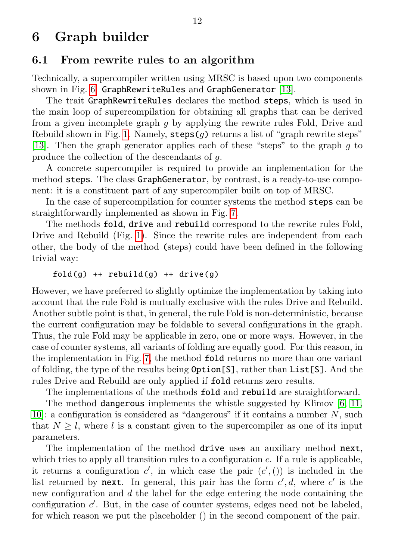### 6 Graph builder

#### <span id="page-12-0"></span>6.1 From rewrite rules to an algorithm

Technically, a supercompiler written using MRSC is based upon two components shown in Fig. [6:](#page-11-2) GraphRewriteRules and GraphGenerator [\[13\]](#page-19-11).

The trait GraphRewriteRules declares the method steps, which is used in the main loop of supercompilation for obtaining all graphs that can be derived from a given incomplete graph  $q$  by applying the rewrite rules Fold, Drive and Rebuild shown in Fig. [1.](#page-5-0) Namely,  $\mathsf{steps}(q)$  returns a list of "graph rewrite steps" [\[13\]](#page-19-11). Then the graph generator applies each of these "steps" to the graph  $q$  to produce the collection of the descendants of  $q$ .

A concrete supercompiler is required to provide an implementation for the method steps. The class GraphGenerator, by contrast, is a ready-to-use component: it is a constituent part of any supercompiler built on top of MRSC.

In the case of supercompilation for counter systems the method steps can be straightforwardly implemented as shown in Fig. [7.](#page-13-1)

The methods fold, drive and rebuild correspond to the rewrite rules Fold, Drive and Rebuild (Fig. [1\)](#page-5-0). Since the rewrite rules are independent from each other, the body of the method (steps) could have been defined in the following trivial way:

#### $fold(g)$  ++  $rebuild(g)$  ++  $drive(g)$

However, we have preferred to slightly optimize the implementation by taking into account that the rule Fold is mutually exclusive with the rules Drive and Rebuild. Another subtle point is that, in general, the rule Fold is non-deterministic, because the current configuration may be foldable to several configurations in the graph. Thus, the rule Fold may be applicable in zero, one or more ways. However, in the case of counter systems, all variants of folding are equally good. For this reason, in the implementation in Fig. [7,](#page-13-1) the method fold returns no more than one variant of folding, the type of the results being Option[S], rather than List[S]. And the rules Drive and Rebuild are only applied if fold returns zero results.

The implementations of the methods fold and rebuild are straightforward.

The method dangerous implements the whistle suggested by Klimov [\[6,](#page-18-6) [11,](#page-19-10) 10. a configuration is considered as "dangerous" if it contains a number  $N$ , such that  $N \geq l$ , where l is a constant given to the supercompiler as one of its input parameters.

The implementation of the method **drive** uses an auxiliary method **next**, which tries to apply all transition rules to a configuration  $c$ . If a rule is applicable, it returns a configuration  $c'$ , in which case the pair  $(c',$  ()) is included in the list returned by next. In general, this pair has the form  $c', d$ , where  $c'$  is the new configuration and  $d$  the label for the edge entering the node containing the configuration c'. But, in the case of counter systems, edges need not be labeled, for which reason we put the placeholder () in the second component of the pair.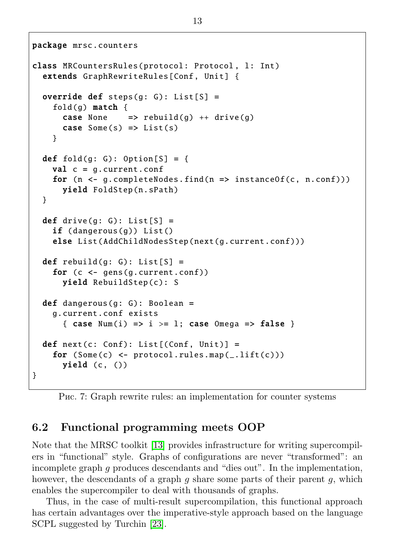```
package mrsc.counters
class MRCountersRules (protocol: Protocol , l: Int)
  extends GraphRewriteRules [Conf , Unit] {
  override def steps(q: G): List[S] =
    fold(q) match {
      case None \Rightarrow rebuild(g) ++ drive(g)
      case Some(s) \Rightarrow List(s)}
  def fold(q: G): Option[S] = {
    val c = a. current. conf
    for (n \leq -q.\text{completeNodes.find}(n \Rightarrow \text{instanceOf}(c, n.\text{conf})))yield FoldStep(n.sPath)
  }
  def drive(g: G): List[S] =if ( dangerous (g)) List ()
    else List(AddChildNodesStep(next(g.current.conf)))
  def rebuild(g: G): List[S] =
    for (c \leq -gens(g.current.comf))yield RebuildStep (c): S
  def dangerous (g: G): Boolean =
    g.current.conf exists
      { case Num(i) => i >= 1; case Omega => false }
  def next(c: Conf): List[(Conf, Unit)] =
    for (Some(c) \leftarrow protocol.rules-map(.lift(c)))
      yield (c, ())}
```
Рис. 7: Graph rewrite rules: an implementation for counter systems

#### <span id="page-13-0"></span>6.2 Functional programming meets OOP

Note that the MRSC toolkit [\[13\]](#page-19-11) provides infrastructure for writing supercompilers in "functional" style. Graphs of configurations are never "transformed": an incomplete graph  $g$  produces descendants and "dies out". In the implementation, however, the descendants of a graph  $g$  share some parts of their parent  $g$ , which enables the supercompiler to deal with thousands of graphs.

Thus, in the case of multi-result supercompilation, this functional approach has certain advantages over the imperative-style approach based on the language SCPL suggested by Turchin [\[23\]](#page-19-1).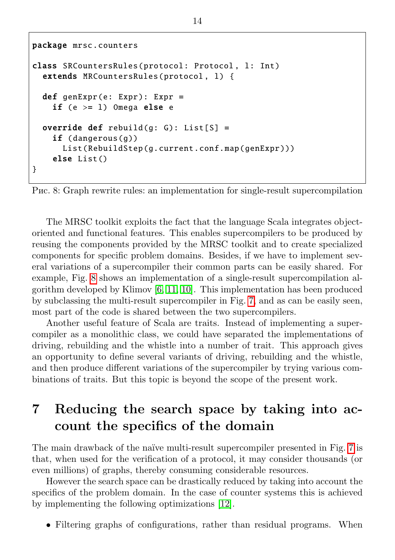```
package mrsc.counters
class SRCountersRules (protocol: Protocol , l: Int)
  extends MRCountersRules (protocol , l) {
  def genExpr(e: Expr): Expr =
    if (e \ge 1) Omega else e
  override def rebuild(g: G): List[S] =
    if (dangerous(g))List(RebuildStep(g.current.conf.map(genExpr)))
    else List ()
}
```
Рис. 8: Graph rewrite rules: an implementation for single-result supercompilation

The MRSC toolkit exploits the fact that the language Scala integrates objectoriented and functional features. This enables supercompilers to be produced by reusing the components provided by the MRSC toolkit and to create specialized components for specific problem domains. Besides, if we have to implement several variations of a supercompiler their common parts can be easily shared. For example, Fig. [8](#page-14-1) shows an implementation of a single-result supercompilation algorithm developed by Klimov [\[6,](#page-18-6) [11,](#page-19-10) [10\]](#page-18-7). This implementation has been produced by subclassing the multi-result supercompiler in Fig. [7,](#page-13-1) and as can be easily seen, most part of the code is shared between the two supercompilers.

Another useful feature of Scala are traits. Instead of implementing a supercompiler as a monolithic class, we could have separated the implementations of driving, rebuilding and the whistle into a number of trait. This approach gives an opportunity to define several variants of driving, rebuilding and the whistle, and then produce different variations of the supercompiler by trying various combinations of traits. But this topic is beyond the scope of the present work.

# <span id="page-14-0"></span>7 Reducing the search space by taking into account the specifics of the domain

The main drawback of the naïve multi-result supercompiler presented in Fig. [7](#page-13-1) is that, when used for the verification of a protocol, it may consider thousands (or even millions) of graphs, thereby consuming considerable resources.

However the search space can be drastically reduced by taking into account the specifics of the problem domain. In the case of counter systems this is achieved by implementing the following optimizations [\[12\]](#page-19-9).

∙ Filtering graphs of configurations, rather than residual programs. When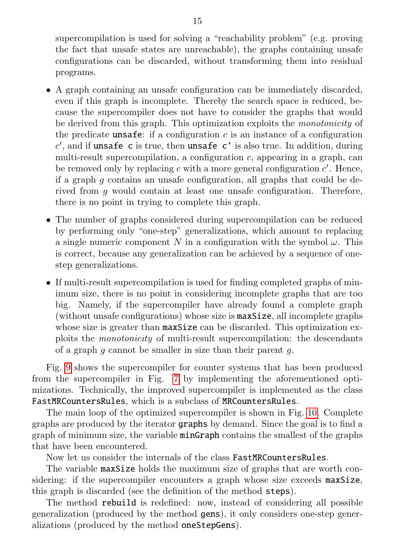supercompilation is used for solving a "reachability problem" (e.g. proving the fact that unsafe states are unreachable), the graphs containing unsafe configurations can be discarded, without transforming them into residual programs.

- ∙ A graph containing an unsafe configuration can be immediately discarded, even if this graph is incomplete. Thereby the search space is reduced, because the supercompiler does not have to consider the graphs that would be derived from this graph. This optimization exploits the *monotonicity* of the predicate **unsafe**: if a configuration  $c$  is an instance of a configuration  $c'$ , and if unsafe c is true, then unsafe c' is also true. In addition, during multi-result supercompilation, a configuration  $c$ , appearing in a graph, can be removed only by replacing  $c$  with a more general configuration  $c'$ . Hence, if a graph  $q$  contains an unsafe configuration, all graphs that could be derived from  $q$  would contain at least one unsafe configuration. Therefore, there is no point in trying to complete this graph.
- ∙ The number of graphs considered during supercompilation can be reduced by performing only "one-step" generalizations, which amount to replacing a single numeric component N in a configuration with the symbol  $\omega$ . This is correct, because any generalization can be achieved by a sequence of onestep generalizations.
- ∙ If multi-result supercompilation is used for finding completed graphs of minimum size, there is no point in considering incomplete graphs that are too big. Namely, if the supercompiler have already found a complete graph (without unsafe configurations) whose size is maxSize, all incomplete graphs whose size is greater than **maxSize** can be discarded. This optimization exploits the monotonicity of multi-result supercompilation: the descendants of a graph  $q$  cannot be smaller in size than their parent  $q$ .

Fig. [9](#page-16-0) shows the supercompiler for counter systems that has been produced from the supercompiler in Fig. [7](#page-13-1) by implementing the aforementioned optimizations. Technically, the improved supercompiler is implemented as the class FastMRCountersRules, which is a subclass of MRCountersRules.

The main loop of the optimized supercompiler is shown in Fig. [10.](#page-16-1) Complete graphs are produced by the iterator graphs by demand. Since the goal is to find a graph of minimum size, the variable minGraph contains the smallest of the graphs that have been encountered.

Now let us consider the internals of the class FastMRCountersRules.

The variable **maxsize** holds the maximum size of graphs that are worth considering: if the supercompiler encounters a graph whose size exceeds maxSize, this graph is discarded (see the definition of the method steps).

The method rebuild is redefined: now, instead of considering all possible generalization (produced by the method gens), it only considers one-step generalizations (produced by the method oneStepGens).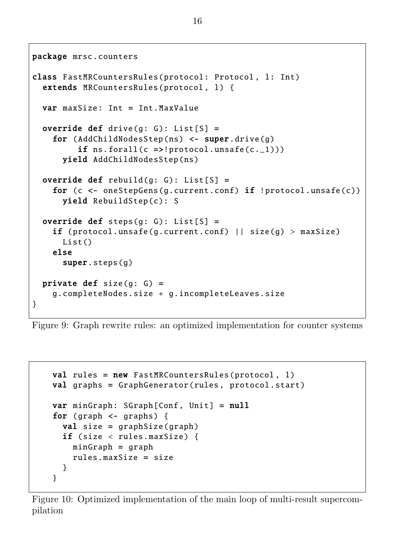```
package mrsc.counters
class FastMRCountersRules ( protocol: Protocol , l: Int)
  extends MRCountersRules (protocol , l) {
  var maxSize: Int = Int. MaxValue
  override def drive(q: G): List[S] =
    for (AddChildNodesStep(ns) < -super.drive(q)if ns.forall(c =>!protocol.unsafe(c_1))yield AddChildNodesStep (ns)
  override def rebuild(a: G): List[S] =
    for (c \le -\n\rho_0) one StepGens(q.\text{current.com}) if !\text{protocol}.\text{unsafe}(c)yield RebuildStep (c): S
  override def steps(q: G): List[S] =
    if (protocol.unsafe(g.current.conf) || size(g) > maxSize)
      List ()
    else
      super.steps(g)
  private def size(g: G) =
    g. completeNodes .size + g. incompleteLeaves .size
}
```
Figure 9: Graph rewrite rules: an optimized implementation for counter systems

```
val rules = new FastMRCountersRules (protocol , l)
val graphs = GraphGenerator (rules , protocol.start)
var minGraph: SGraph[Conf, Unit] = nullfor (graph \leq- graphs) {
  val size = graphSize(graph)if (size < rules.maxSize) {
    minGraph = graph
    rules.maxSize = size
  }
}
```
Figure 10: Optimized implementation of the main loop of multi-result supercompilation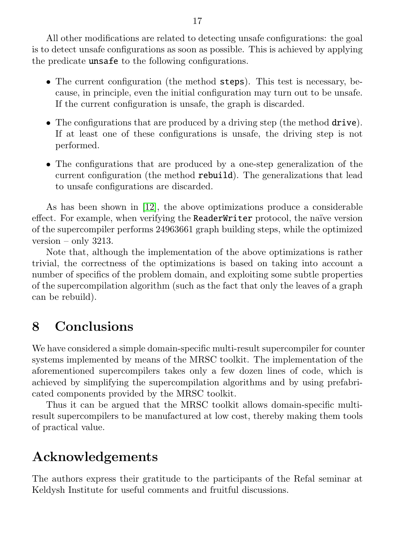All other modifications are related to detecting unsafe configurations: the goal is to detect unsafe configurations as soon as possible. This is achieved by applying the predicate unsafe to the following configurations.

- ∙ The current configuration (the method steps). This test is necessary, because, in principle, even the initial configuration may turn out to be unsafe. If the current configuration is unsafe, the graph is discarded.
- ∙ The configurations that are produced by a driving step (the method drive). If at least one of these configurations is unsafe, the driving step is not performed.
- ∙ The configurations that are produced by a one-step generalization of the current configuration (the method rebuild). The generalizations that lead to unsafe configurations are discarded.

As has been shown in [\[12\]](#page-19-9), the above optimizations produce a considerable effect. For example, when verifying the **ReaderWriter** protocol, the naïve version of the supercompiler performs 24963661 graph building steps, while the optimized version – only 3213.

Note that, although the implementation of the above optimizations is rather trivial, the correctness of the optimizations is based on taking into account a number of specifics of the problem domain, and exploiting some subtle properties of the supercompilation algorithm (such as the fact that only the leaves of a graph can be rebuild).

## <span id="page-17-0"></span>8 Conclusions

We have considered a simple domain-specific multi-result supercompiler for counter systems implemented by means of the MRSC toolkit. The implementation of the aforementioned supercompilers takes only a few dozen lines of code, which is achieved by simplifying the supercompilation algorithms and by using prefabricated components provided by the MRSC toolkit.

Thus it can be argued that the MRSC toolkit allows domain-specific multiresult supercompilers to be manufactured at low cost, thereby making them tools of practical value.

# Acknowledgements

The authors express their gratitude to the participants of the Refal seminar at Keldysh Institute for useful comments and fruitful discussions.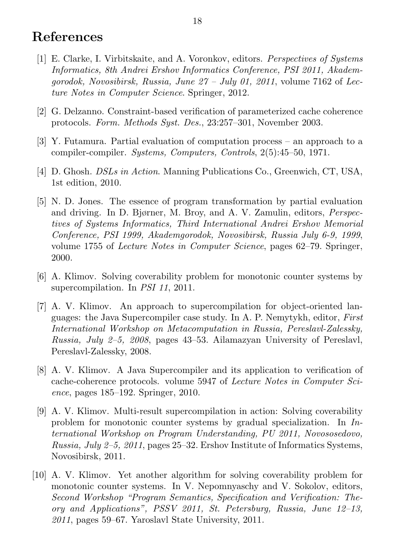### <span id="page-18-0"></span>References

- <span id="page-18-10"></span>[1] E. Clarke, I. Virbitskaite, and A. Voronkov, editors. Perspectives of Systems Informatics, 8th Andrei Ershov Informatics Conference, PSI 2011, Akademgorodok, Novosibirsk, Russia, June  $27 - July 01$ ,  $2011$ , volume 7162 of Lecture Notes in Computer Science. Springer, 2012.
- <span id="page-18-4"></span>[2] G. Delzanno. Constraint-based verification of parameterized cache coherence protocols. Form. Methods Syst. Des., 23:257–301, November 2003.
- <span id="page-18-9"></span>[3] Y. Futamura. Partial evaluation of computation process – an approach to a compiler-compiler. Systems, Computers, Controls, 2(5):45–50, 1971.
- <span id="page-18-8"></span>[4] D. Ghosh. DSLs in Action. Manning Publications Co., Greenwich, CT, USA, 1st edition, 2010.
- <span id="page-18-1"></span>[5] N. D. Jones. The essence of program transformation by partial evaluation and driving. In D. Bjørner, M. Broy, and A. V. Zamulin, editors, Perspectives of Systems Informatics, Third International Andrei Ershov Memorial Conference, PSI 1999, Akademgorodok, Novosibirsk, Russia July 6-9, 1999, volume 1755 of Lecture Notes in Computer Science, pages 62–79. Springer, 2000.
- <span id="page-18-6"></span>[6] A. Klimov. Solving coverability problem for monotonic counter systems by supercompilation. In *PSI 11*, 2011.
- <span id="page-18-2"></span>[7] A. V. Klimov. An approach to supercompilation for object-oriented languages: the Java Supercompiler case study. In A. P. Nemytykh, editor, First International Workshop on Metacomputation in Russia, Pereslavl-Zalessky, Russia, July 2–5, 2008, pages 43–53. Ailamazyan University of Pereslavl, Pereslavl-Zalessky, 2008.
- <span id="page-18-5"></span>[8] A. V. Klimov. A Java Supercompiler and its application to verification of cache-coherence protocols. volume 5947 of Lecture Notes in Computer Science, pages 185–192. Springer, 2010.
- <span id="page-18-3"></span>[9] A. V. Klimov. Multi-result supercompilation in action: Solving coverability problem for monotonic counter systems by gradual specialization. In  $In$ ternational Workshop on Program Understanding, PU 2011, Novososedovo, Russia, July 2–5, 2011, pages 25–32. Ershov Institute of Informatics Systems, Novosibirsk, 2011.
- <span id="page-18-7"></span>[10] A. V. Klimov. Yet another algorithm for solving coverability problem for monotonic counter systems. In V. Nepomnyaschy and V. Sokolov, editors, Second Workshop "Program Semantics, Specification and Verification: Theory and Applications", PSSV 2011, St. Petersburg, Russia, June 12–13, 2011, pages 59–67. Yaroslavl State University, 2011.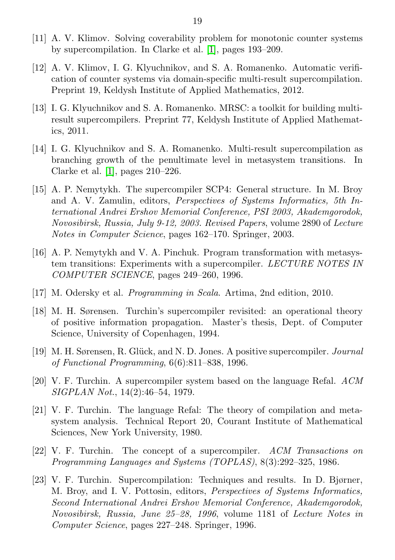- <span id="page-19-10"></span>[11] A. V. Klimov. Solving coverability problem for monotonic counter systems by supercompilation. In Clarke et al. [\[1\]](#page-18-10), pages 193–209.
- <span id="page-19-9"></span>[12] A. V. Klimov, I. G. Klyuchnikov, and S. A. Romanenko. Automatic verification of counter systems via domain-specific multi-result supercompilation. Preprint 19, Keldysh Institute of Applied Mathematics, 2012.
- <span id="page-19-11"></span>[13] I. G. Klyuchnikov and S. A. Romanenko. MRSC: a toolkit for building multiresult supercompilers. Preprint 77, Keldysh Institute of Applied Mathematics, 2011.
- <span id="page-19-8"></span>[14] I. G. Klyuchnikov and S. A. Romanenko. Multi-result supercompilation as branching growth of the penultimate level in metasystem transitions. In Clarke et al. [\[1\]](#page-18-10), pages 210–226.
- <span id="page-19-5"></span>[15] A. P. Nemytykh. The supercompiler SCP4: General structure. In M. Broy and A. V. Zamulin, editors, Perspectives of Systems Informatics, 5th International Andrei Ershov Memorial Conference, PSI 2003, Akademgorodok, Novosibirsk, Russia, July 9-12, 2003. Revised Papers, volume 2890 of Lecture Notes in Computer Science, pages 162–170. Springer, 2003.
- <span id="page-19-4"></span>[16] A. P. Nemytykh and V. A. Pinchuk. Program transformation with metasystem transitions: Experiments with a supercompiler. LECTURE NOTES IN COMPUTER SCIENCE, pages 249–260, 1996.
- <span id="page-19-12"></span>[17] M. Odersky et al. Programming in Scala. Artima, 2nd edition, 2010.
- <span id="page-19-6"></span>[18] M. H. Sørensen. Turchin's supercompiler revisited: an operational theory of positive information propagation. Master's thesis, Dept. of Computer Science, University of Copenhagen, 1994.
- <span id="page-19-7"></span>[19] M. H. Sørensen, R. Glück, and N. D. Jones. A positive supercompiler. *Journal* of Functional Programming, 6(6):811–838, 1996.
- <span id="page-19-3"></span>[20] V. F. Turchin. A supercompiler system based on the language Refal. ACM SIGPLAN Not., 14(2):46–54, 1979.
- <span id="page-19-2"></span>[21] V. F. Turchin. The language Refal: The theory of compilation and metasystem analysis. Technical Report 20, Courant Institute of Mathematical Sciences, New York University, 1980.
- <span id="page-19-0"></span>[22] V. F. Turchin. The concept of a supercompiler. ACM Transactions on Programming Languages and Systems (TOPLAS), 8(3):292–325, 1986.
- <span id="page-19-1"></span>[23] V. F. Turchin. Supercompilation: Techniques and results. In D. Bjørner, M. Broy, and I. V. Pottosin, editors, Perspectives of Systems Informatics, Second International Andrei Ershov Memorial Conference, Akademgorodok, Novosibirsk, Russia, June 25–28, 1996, volume 1181 of Lecture Notes in Computer Science, pages 227–248. Springer, 1996.